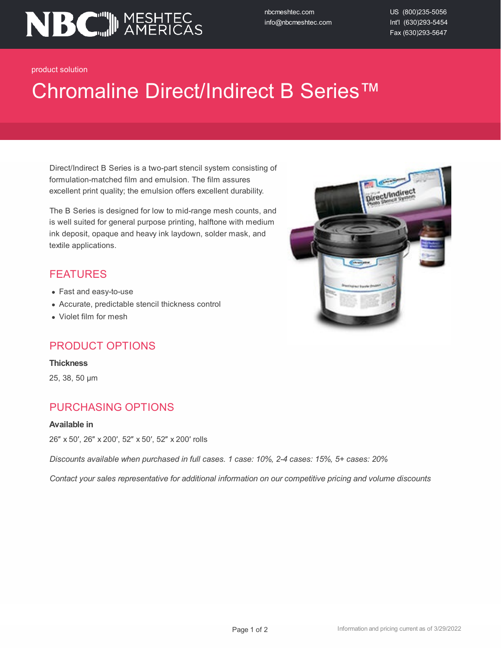

nbcmeshtec.com info@nbcmeshtec.com US (800)235-5056 Int'l (630)293-5454 Fax (630)293-5647

product solution

# Chromaline Direct/Indirect B Series™

Direct/Indirect B Series is a two-part stencil system consisting of formulation-matched film and emulsion. The film assures excellent print quality; the emulsion offers excellent durability.

The B Series is designed for low to mid-range mesh counts, and is well suited for general purpose printing, halftone with medium ink deposit, opaque and heavy ink laydown, solder mask, and textile applications.

### FEATURES

- Fast and easy-to-use
- Accurate, predictable stencil thickness control
- Violet film for mesh

### PRODUCT OPTIONS

#### **Thickness**

25, 38, 50 µm

### PURCHASING OPTIONS

#### **Available in**

26″ x 50′, 26″ x 200′, 52″ x 50′, 52″ x 200′ rolls

*Discounts available when purchased in full cases. 1 case: 10%, 2-4 cases: 15%, 5+ cases: 20%*

*Contact your sales representative for additional information on our competitive pricing and volume discounts*